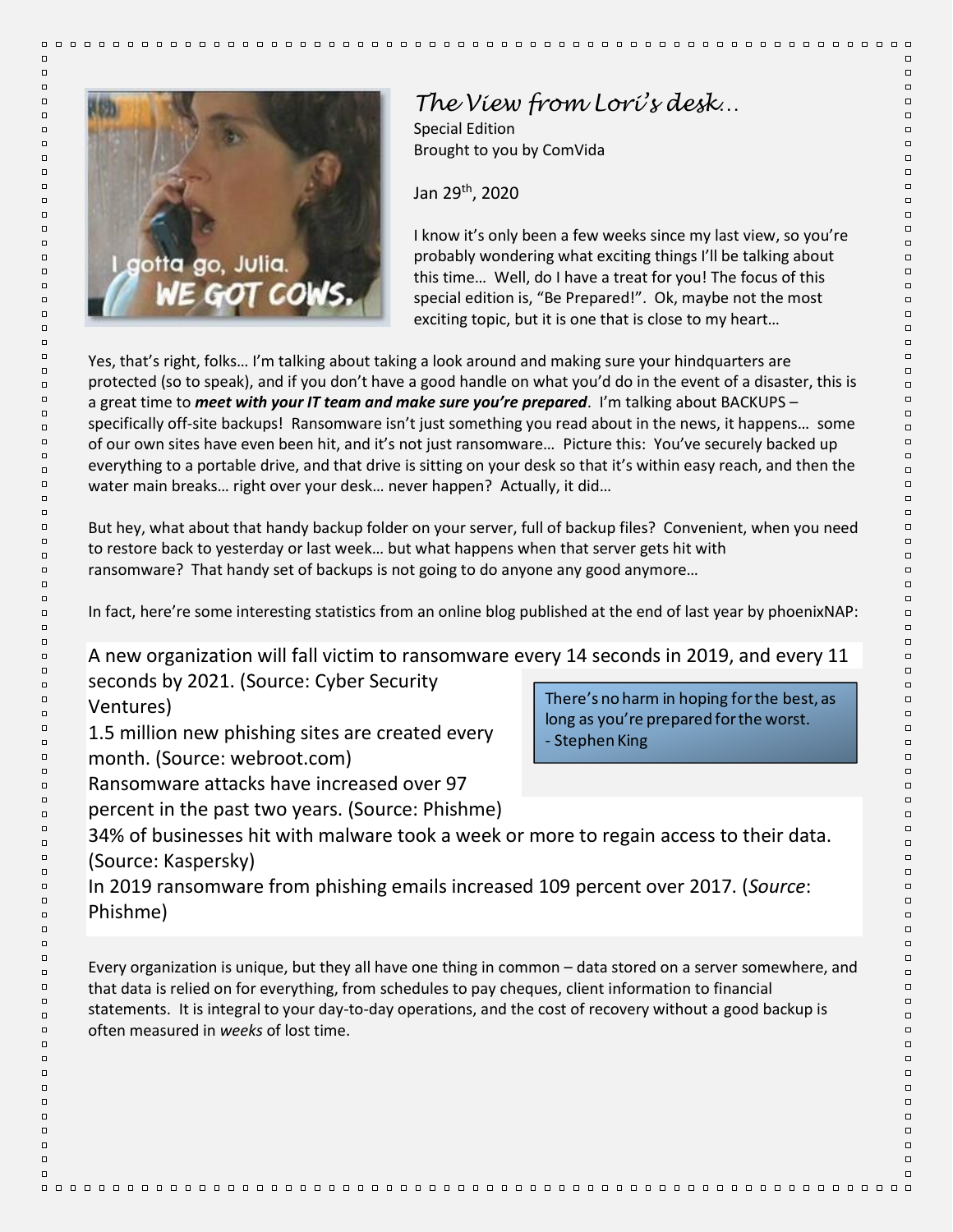

## *The View from Lori's desk…*

Special Edition Brought to you by ComVida

Jan 29th, 2020

I know it's only been a few weeks since my last view, so you're probably wondering what exciting things I'll be talking about this time… Well, do I have a treat for you! The focus of this special edition is, "Be Prepared!". Ok, maybe not the most exciting topic, but it is one that is close to my heart…

 $\Box$   $\Box$ 

 $\Box$ 

 $\Box$ 

 $\Box$ 

 $\Box$ 

 $\Box$ 

 $\Box$ 

 $\Box$ 

 $\Box$ 

 $\Box$ 

 $\Box$ 

 $\Box$ 

 $\Box$ 

 $\Box$ 

 $\Box$ 

 $\Box$ 

 $\Box$ 

 $\Box$ 

 $\Box$ 

 $\Box$ 

 $\Box$ 

 $\Box$ 

 $\Box$ 

 $\Box$ 

 $\Box$ 

 $\Box$ 

 $\Box$ 

 $\Box$ 

 $\Box$ 

 $\Box$ 

 $\Box$ 

 $\Box$ 

 $\Box$ 

 $\Box$ 

 $\Box$ 

 $\Box$ 

 $\Box$ 

 $\Box$ 

 $\Box$ 

 $\Box$ 

 $\Box$ 

 $\Box$ 

 $\Box$ 

 $\Box$ 

 $\Box$  $\Box$ 

 $\Box$ 

 $\Box$ 

 $\Box$ 

 $\Box$ 

 $\Box$ 

 $\Box$ 

 $\Box$ 

 $\Box$ 

 $\Box$ 

 $\Box$ 

 $\Box$ 

 $\Box$ 

 $\Box$ 

 $\Box$ 

 $\Box$ 

 $\Box$ 

 $\Box$ 

 $\Box$ 

 $\Box$ 

 $\Box$ 

 $\Box$ 

 $\Box$ 

 $\Box$ 

 $\Box$ 

 $\Box$ 

 $\Box$ 

 $\Box$ 

 $\Box$ 

 $\Box$ 

 $\Box$ 

 $\Box$ 

Yes, that's right, folks… I'm talking about taking a look around and making sure your hindquarters are protected (so to speak), and if you don't have a good handle on what you'd do in the event of a disaster, this is a great time to *meet with your IT team and make sure you're prepared*. I'm talking about BACKUPS – specifically off-site backups! Ransomware isn't just something you read about in the news, it happens… some of our own sites have even been hit, and it's not just ransomware… Picture this: You've securely backed up everything to a portable drive, and that drive is sitting on your desk so that it's within easy reach, and then the water main breaks… right over your desk… never happen? Actually, it did…

But hey, what about that handy backup folder on your server, full of backup files? Convenient, when you need to restore back to yesterday or last week… but what happens when that server gets hit with ransomware? That handy set of backups is not going to do anyone any good anymore…

In fact, here're some interesting statistics from an online blog published at the end of last year by phoenixNAP:

A new organization will fall victim to ransomware every 14 seconds in 2019, and every 11 seconds by 2021. (Source: Cyber Security

Ventures)

- 1.5 million new phishing sites are created every
- month. (Source: webroot.com)
- Ransomware attacks have increased over 97
- percent in the past two years. (Source: Phishme)

There's no harm in hoping for the best, as long as you're prepared for the worst. - Stephen King

- 34% of businesses hit with malware took a week or more to regain access to their data. (Source: Kaspersky)
- In 2019 ransomware from phishing emails increased 109 percent over 2017. (*Source*: Phishme)

Every organization is unique, but they all have one thing in common – data stored on a server somewhere, and that data is relied on for everything, from schedules to pay cheques, client information to financial statements. It is integral to your day-to-day operations, and the cost of recovery without a good backup is often measured in *weeks* of lost time.